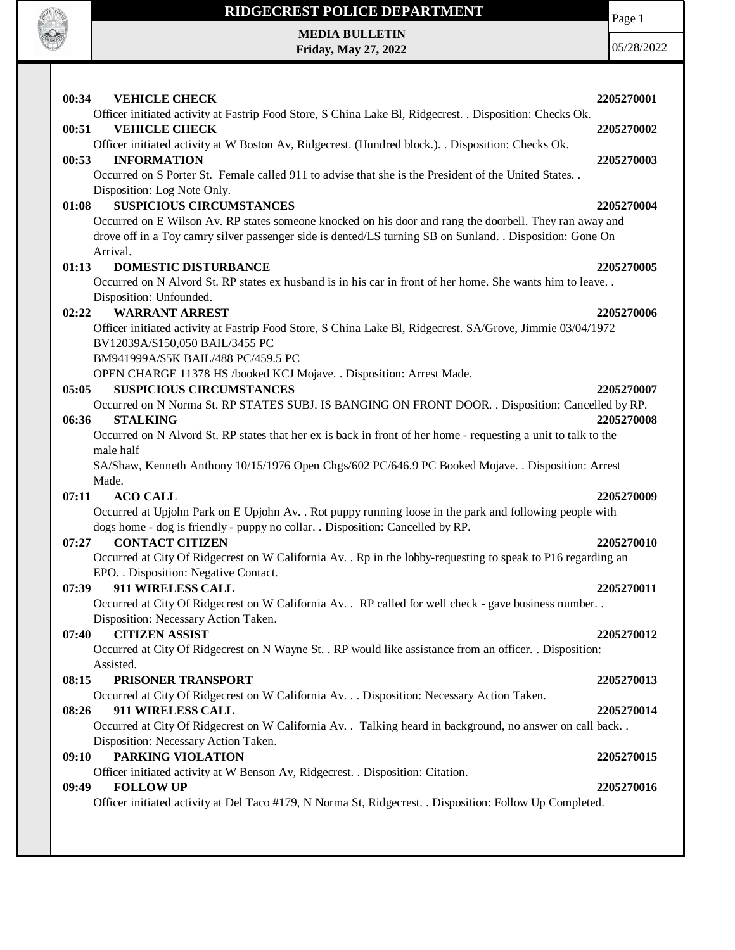

**Friday, May 27, 2022**

Page 1

| 00:34<br><b>VEHICLE CHECK</b>                                                                                                         | 2205270001 |
|---------------------------------------------------------------------------------------------------------------------------------------|------------|
| Officer initiated activity at Fastrip Food Store, S China Lake Bl, Ridgecrest. . Disposition: Checks Ok.                              |            |
| 00:51<br><b>VEHICLE CHECK</b>                                                                                                         | 2205270002 |
| Officer initiated activity at W Boston Av, Ridgecrest. (Hundred block.). . Disposition: Checks Ok.<br><b>INFORMATION</b><br>00:53     | 2205270003 |
| Occurred on S Porter St. Female called 911 to advise that she is the President of the United States                                   |            |
| Disposition: Log Note Only.                                                                                                           |            |
| <b>SUSPICIOUS CIRCUMSTANCES</b><br>01:08                                                                                              | 2205270004 |
| Occurred on E Wilson Av. RP states someone knocked on his door and rang the doorbell. They ran away and                               |            |
| drove off in a Toy camry silver passenger side is dented/LS turning SB on Sunland. . Disposition: Gone On                             |            |
| Arrival.                                                                                                                              |            |
| 01:13<br><b>DOMESTIC DISTURBANCE</b>                                                                                                  | 2205270005 |
| Occurred on N Alvord St. RP states ex husband is in his car in front of her home. She wants him to leave                              |            |
| Disposition: Unfounded.                                                                                                               |            |
| <b>WARRANT ARREST</b><br>02:22                                                                                                        | 2205270006 |
| Officer initiated activity at Fastrip Food Store, S China Lake Bl, Ridgecrest. SA/Grove, Jimmie 03/04/1972                            |            |
| BV12039A/\$150,050 BAIL/3455 PC                                                                                                       |            |
| BM941999A/\$5K BAIL/488 PC/459.5 PC                                                                                                   |            |
| OPEN CHARGE 11378 HS /booked KCJ Mojave. . Disposition: Arrest Made.                                                                  |            |
| 05:05<br><b>SUSPICIOUS CIRCUMSTANCES</b>                                                                                              | 2205270007 |
| Occurred on N Norma St. RP STATES SUBJ. IS BANGING ON FRONT DOOR. . Disposition: Cancelled by RP.                                     |            |
| <b>STALKING</b><br>06:36                                                                                                              | 2205270008 |
| Occurred on N Alvord St. RP states that her ex is back in front of her home - requesting a unit to talk to the                        |            |
| male half<br>SA/Shaw, Kenneth Anthony 10/15/1976 Open Chgs/602 PC/646.9 PC Booked Mojave. . Disposition: Arrest                       |            |
| Made.                                                                                                                                 |            |
| 07:11<br><b>ACO CALL</b>                                                                                                              | 2205270009 |
| Occurred at Upjohn Park on E Upjohn Av. . Rot puppy running loose in the park and following people with                               |            |
| dogs home - dog is friendly - puppy no collar. . Disposition: Cancelled by RP.                                                        |            |
| <b>CONTACT CITIZEN</b><br>07:27                                                                                                       | 2205270010 |
| Occurred at City Of Ridgecrest on W California Av. . Rp in the lobby-requesting to speak to P16 regarding an                          |            |
| EPO. . Disposition: Negative Contact.                                                                                                 |            |
| 07:39<br>911 WIRELESS CALL                                                                                                            | 2205270011 |
| Occurred at City Of Ridgecrest on W California Av. . RP called for well check - gave business number. .                               |            |
| Disposition: Necessary Action Taken.                                                                                                  |            |
| <b>CITIZEN ASSIST</b><br>07:40                                                                                                        | 2205270012 |
| Occurred at City Of Ridgecrest on N Wayne St. . RP would like assistance from an officer. . Disposition:                              |            |
| Assisted.                                                                                                                             |            |
| PRISONER TRANSPORT<br>08:15                                                                                                           | 2205270013 |
| Occurred at City Of Ridgecrest on W California Av. Disposition: Necessary Action Taken.                                               |            |
| 08:26<br>911 WIRELESS CALL                                                                                                            | 2205270014 |
| Occurred at City Of Ridgecrest on W California Av. . Talking heard in background, no answer on call back. .                           |            |
| Disposition: Necessary Action Taken.                                                                                                  |            |
| <b>PARKING VIOLATION</b><br>09:10                                                                                                     | 2205270015 |
| Officer initiated activity at W Benson Av, Ridgecrest. . Disposition: Citation.                                                       |            |
| <b>FOLLOW UP</b><br>09:49<br>Officer initiated activity at Del Taco #179, N Norma St, Ridgecrest. . Disposition: Follow Up Completed. | 2205270016 |
|                                                                                                                                       |            |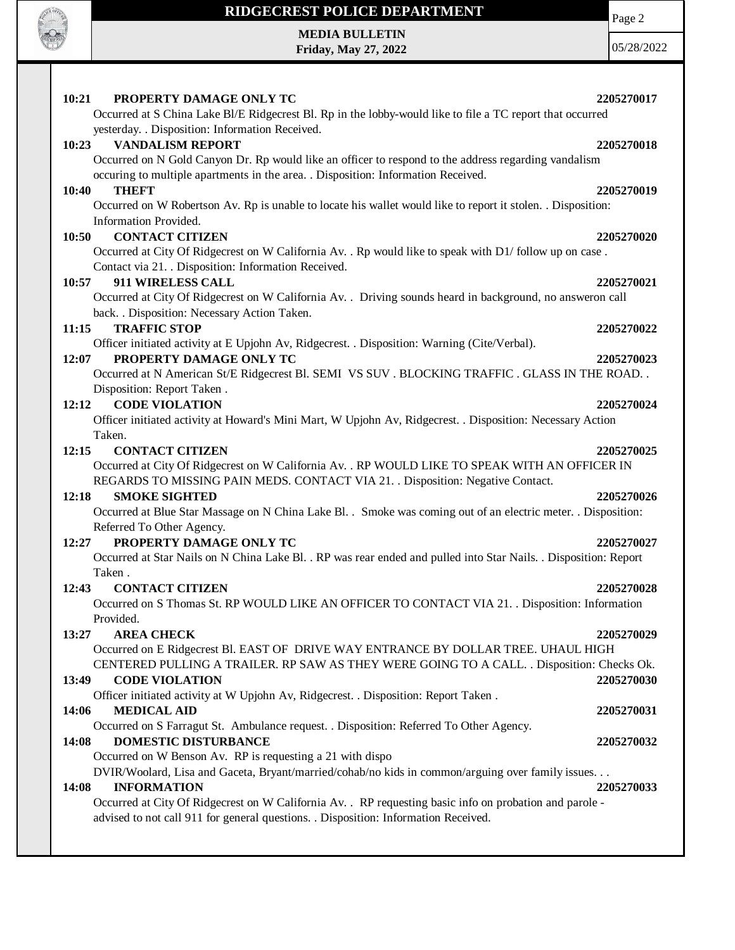

**Friday, May 27, 2022**

Page 2

| 10:21<br>PROPERTY DAMAGE ONLY TC                                                                                                | 2205270017 |
|---------------------------------------------------------------------------------------------------------------------------------|------------|
| Occurred at S China Lake Bl/E Ridgecrest Bl. Rp in the lobby-would like to file a TC report that occurred                       |            |
| yesterday. . Disposition: Information Received.                                                                                 |            |
| <b>VANDALISM REPORT</b><br>10:23                                                                                                | 2205270018 |
| Occurred on N Gold Canyon Dr. Rp would like an officer to respond to the address regarding vandalism                            |            |
| occuring to multiple apartments in the area. . Disposition: Information Received.                                               |            |
| 10:40<br><b>THEFT</b>                                                                                                           | 2205270019 |
| Occurred on W Robertson Av. Rp is unable to locate his wallet would like to report it stolen. . Disposition:                    |            |
| Information Provided.                                                                                                           |            |
| <b>CONTACT CITIZEN</b><br>10:50                                                                                                 | 2205270020 |
| Occurred at City Of Ridgecrest on W California Av. . Rp would like to speak with D1/ follow up on case.                         |            |
| Contact via 21. . Disposition: Information Received.                                                                            |            |
| 911 WIRELESS CALL<br>10:57                                                                                                      | 2205270021 |
| Occurred at City Of Ridgecrest on W California Av. . Driving sounds heard in background, no answeron call                       |            |
| back. . Disposition: Necessary Action Taken.                                                                                    |            |
| <b>TRAFFIC STOP</b><br>11:15                                                                                                    | 2205270022 |
| Officer initiated activity at E Upjohn Av, Ridgecrest. . Disposition: Warning (Cite/Verbal).                                    |            |
| PROPERTY DAMAGE ONLY TC<br>12:07                                                                                                | 2205270023 |
| Occurred at N American St/E Ridgecrest Bl. SEMI VS SUV. BLOCKING TRAFFIC. GLASS IN THE ROAD                                     |            |
| Disposition: Report Taken.                                                                                                      |            |
| <b>CODE VIOLATION</b><br>12:12                                                                                                  | 2205270024 |
| Officer initiated activity at Howard's Mini Mart, W Upjohn Av, Ridgecrest. . Disposition: Necessary Action                      |            |
| Taken.                                                                                                                          |            |
| 12:15<br><b>CONTACT CITIZEN</b>                                                                                                 | 2205270025 |
| Occurred at City Of Ridgecrest on W California Av. . RP WOULD LIKE TO SPEAK WITH AN OFFICER IN                                  |            |
| REGARDS TO MISSING PAIN MEDS. CONTACT VIA 21. . Disposition: Negative Contact.                                                  |            |
| <b>SMOKE SIGHTED</b><br>12:18                                                                                                   | 2205270026 |
| Occurred at Blue Star Massage on N China Lake Bl. . Smoke was coming out of an electric meter. . Disposition:                   |            |
| Referred To Other Agency.                                                                                                       |            |
| PROPERTY DAMAGE ONLY TC<br>12:27                                                                                                | 2205270027 |
| Occurred at Star Nails on N China Lake Bl. . RP was rear ended and pulled into Star Nails. . Disposition: Report                |            |
| Taken.                                                                                                                          |            |
| <b>CONTACT CITIZEN</b><br>12:43                                                                                                 | 2205270028 |
| Occurred on S Thomas St. RP WOULD LIKE AN OFFICER TO CONTACT VIA 21. . Disposition: Information                                 |            |
| Provided.                                                                                                                       |            |
| <b>AREA CHECK</b><br>13:27                                                                                                      | 2205270029 |
| Occurred on E Ridgecrest Bl. EAST OF DRIVE WAY ENTRANCE BY DOLLAR TREE. UHAUL HIGH                                              |            |
| CENTERED PULLING A TRAILER. RP SAW AS THEY WERE GOING TO A CALL. . Disposition: Checks Ok.                                      |            |
| 13:49<br><b>CODE VIOLATION</b>                                                                                                  | 2205270030 |
| Officer initiated activity at W Upjohn Av, Ridgecrest. . Disposition: Report Taken.                                             |            |
| <b>MEDICAL AID</b><br>14:06                                                                                                     | 2205270031 |
| Occurred on S Farragut St. Ambulance request. . Disposition: Referred To Other Agency.                                          |            |
| <b>DOMESTIC DISTURBANCE</b><br>14:08                                                                                            |            |
| Occurred on W Benson Av. RP is requesting a 21 with dispo                                                                       | 2205270032 |
|                                                                                                                                 |            |
| DVIR/Woolard, Lisa and Gaceta, Bryant/married/cohab/no kids in common/arguing over family issues<br>14:08<br><b>INFORMATION</b> | 2205270033 |
| Occurred at City Of Ridgecrest on W California Av. . RP requesting basic info on probation and parole -                         |            |
| advised to not call 911 for general questions. . Disposition: Information Received.                                             |            |
|                                                                                                                                 |            |
|                                                                                                                                 |            |
|                                                                                                                                 |            |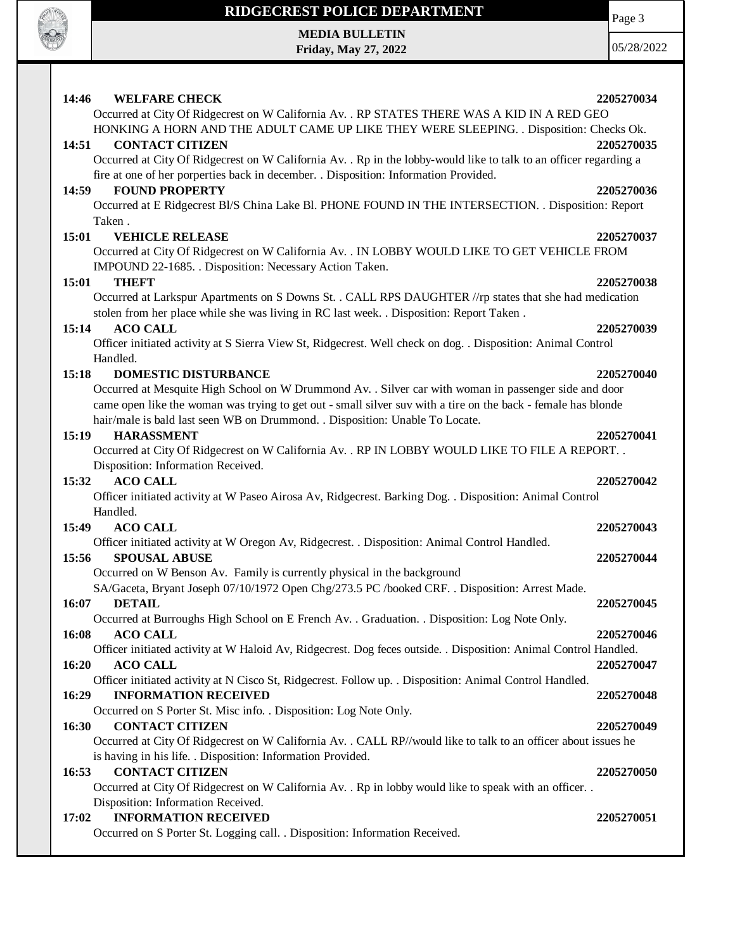

**Friday, May 27, 2022**

Page 3

| 14:46<br><b>WELFARE CHECK</b>                                                                                       | 2205270034 |
|---------------------------------------------------------------------------------------------------------------------|------------|
| Occurred at City Of Ridgecrest on W California Av. . RP STATES THERE WAS A KID IN A RED GEO                         |            |
| HONKING A HORN AND THE ADULT CAME UP LIKE THEY WERE SLEEPING. . Disposition: Checks Ok.                             |            |
| <b>CONTACT CITIZEN</b><br>14:51                                                                                     | 2205270035 |
| Occurred at City Of Ridgecrest on W California Av. . Rp in the lobby-would like to talk to an officer regarding a   |            |
| fire at one of her porperties back in december. . Disposition: Information Provided.                                |            |
| <b>FOUND PROPERTY</b><br>14:59                                                                                      | 2205270036 |
| Occurred at E Ridgecrest Bl/S China Lake Bl. PHONE FOUND IN THE INTERSECTION. . Disposition: Report                 |            |
| Taken.                                                                                                              |            |
| 15:01<br><b>VEHICLE RELEASE</b>                                                                                     | 2205270037 |
| Occurred at City Of Ridgecrest on W California Av. . IN LOBBY WOULD LIKE TO GET VEHICLE FROM                        |            |
| IMPOUND 22-1685. . Disposition: Necessary Action Taken.                                                             |            |
| <b>THEFT</b><br>15:01                                                                                               | 2205270038 |
| Occurred at Larkspur Apartments on S Downs St. . CALL RPS DAUGHTER //rp states that she had medication              |            |
| stolen from her place while she was living in RC last week. . Disposition: Report Taken.                            |            |
| <b>ACO CALL</b><br>15:14                                                                                            | 2205270039 |
| Officer initiated activity at S Sierra View St, Ridgecrest. Well check on dog. . Disposition: Animal Control        |            |
| Handled.                                                                                                            |            |
| <b>DOMESTIC DISTURBANCE</b><br>15:18                                                                                | 2205270040 |
| Occurred at Mesquite High School on W Drummond Av. . Silver car with woman in passenger side and door               |            |
| came open like the woman was trying to get out - small silver suv with a tire on the back - female has blonde       |            |
| hair/male is bald last seen WB on Drummond. . Disposition: Unable To Locate.                                        |            |
| <b>HARASSMENT</b><br>15:19                                                                                          | 2205270041 |
| Occurred at City Of Ridgecrest on W California Av. . RP IN LOBBY WOULD LIKE TO FILE A REPORT. .                     |            |
| Disposition: Information Received.                                                                                  |            |
|                                                                                                                     |            |
| <b>ACO CALL</b><br>15:32                                                                                            | 2205270042 |
| Officer initiated activity at W Paseo Airosa Av, Ridgecrest. Barking Dog. . Disposition: Animal Control             |            |
| Handled.                                                                                                            |            |
| <b>ACO CALL</b><br>15:49                                                                                            | 2205270043 |
| Officer initiated activity at W Oregon Av, Ridgecrest. . Disposition: Animal Control Handled.                       |            |
| <b>SPOUSAL ABUSE</b><br>15:56                                                                                       | 2205270044 |
| Occurred on W Benson Av. Family is currently physical in the background                                             |            |
| SA/Gaceta, Bryant Joseph 07/10/1972 Open Chg/273.5 PC /booked CRF. . Disposition: Arrest Made.                      |            |
| 16:07<br><b>DETAIL</b>                                                                                              | 2205270045 |
| Occurred at Burroughs High School on E French Av. . Graduation. . Disposition: Log Note Only.                       |            |
| 16:08<br><b>ACO CALL</b>                                                                                            | 2205270046 |
| Officer initiated activity at W Haloid Av, Ridgecrest. Dog feces outside. . Disposition: Animal Control Handled.    |            |
| 16:20<br><b>ACO CALL</b>                                                                                            | 2205270047 |
| Officer initiated activity at N Cisco St, Ridgecrest. Follow up. . Disposition: Animal Control Handled.             |            |
| <b>INFORMATION RECEIVED</b><br>16:29                                                                                | 2205270048 |
| Occurred on S Porter St. Misc info. . Disposition: Log Note Only.                                                   |            |
| <b>CONTACT CITIZEN</b><br>16:30                                                                                     | 2205270049 |
| Occurred at City Of Ridgecrest on W California Av. . CALL RP//would like to talk to an officer about issues he      |            |
| is having in his life. . Disposition: Information Provided.                                                         |            |
| <b>CONTACT CITIZEN</b><br>16:53                                                                                     | 2205270050 |
| Occurred at City Of Ridgecrest on W California Av. . Rp in lobby would like to speak with an officer. .             |            |
| Disposition: Information Received.                                                                                  |            |
| <b>INFORMATION RECEIVED</b><br>17:02<br>Occurred on S Porter St. Logging call. . Disposition: Information Received. | 2205270051 |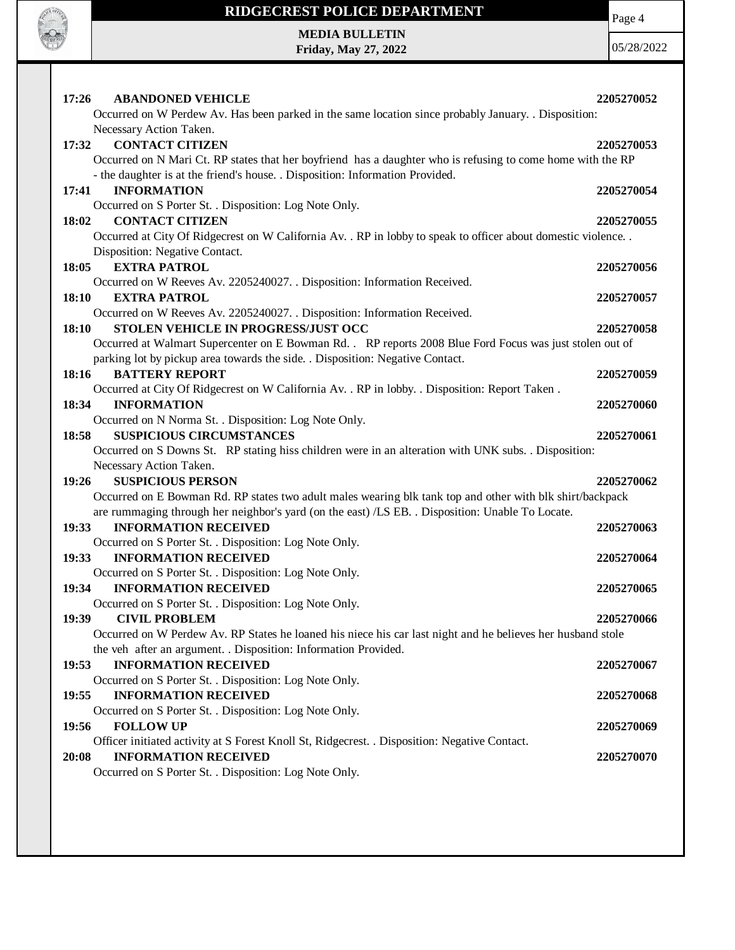

**Friday, May 27, 2022**

Page 4

| 17:26<br><b>ABANDONED VEHICLE</b>                                                                                    | 2205270052 |
|----------------------------------------------------------------------------------------------------------------------|------------|
| Occurred on W Perdew Av. Has been parked in the same location since probably January. . Disposition:                 |            |
| Necessary Action Taken.                                                                                              |            |
| <b>CONTACT CITIZEN</b><br>17:32                                                                                      | 2205270053 |
| Occurred on N Mari Ct. RP states that her boyfriend has a daughter who is refusing to come home with the RP          |            |
| - the daughter is at the friend's house. . Disposition: Information Provided.                                        |            |
| <b>INFORMATION</b><br>17:41                                                                                          | 2205270054 |
| Occurred on S Porter St. . Disposition: Log Note Only.                                                               |            |
| 18:02<br><b>CONTACT CITIZEN</b>                                                                                      | 2205270055 |
| Occurred at City Of Ridgecrest on W California Av. . RP in lobby to speak to officer about domestic violence. .      |            |
| Disposition: Negative Contact.                                                                                       |            |
| <b>EXTRA PATROL</b><br>18:05                                                                                         | 2205270056 |
| Occurred on W Reeves Av. 2205240027. . Disposition: Information Received.                                            |            |
| <b>EXTRA PATROL</b><br>18:10                                                                                         | 2205270057 |
| Occurred on W Reeves Av. 2205240027. . Disposition: Information Received.                                            |            |
| STOLEN VEHICLE IN PROGRESS/JUST OCC<br>18:10                                                                         | 2205270058 |
| Occurred at Walmart Supercenter on E Bowman Rd. . RP reports 2008 Blue Ford Focus was just stolen out of             |            |
| parking lot by pickup area towards the side. . Disposition: Negative Contact.                                        |            |
| 18:16<br><b>BATTERY REPORT</b>                                                                                       | 2205270059 |
| Occurred at City Of Ridgecrest on W California Av. . RP in lobby. . Disposition: Report Taken.<br><b>INFORMATION</b> |            |
| 18:34                                                                                                                | 2205270060 |
| Occurred on N Norma St. . Disposition: Log Note Only.<br><b>SUSPICIOUS CIRCUMSTANCES</b><br>18:58                    | 2205270061 |
| Occurred on S Downs St. RP stating hiss children were in an alteration with UNK subs. . Disposition:                 |            |
| Necessary Action Taken.                                                                                              |            |
| <b>SUSPICIOUS PERSON</b><br>19:26                                                                                    | 2205270062 |
| Occurred on E Bowman Rd. RP states two adult males wearing blk tank top and other with blk shirt/backpack            |            |
| are rummaging through her neighbor's yard (on the east) /LS EB. . Disposition: Unable To Locate.                     |            |
| <b>INFORMATION RECEIVED</b><br>19:33                                                                                 | 2205270063 |
| Occurred on S Porter St. . Disposition: Log Note Only.                                                               |            |
|                                                                                                                      |            |
|                                                                                                                      |            |
| 19:33<br><b>INFORMATION RECEIVED</b>                                                                                 | 2205270064 |
| Occurred on S Porter St. . Disposition: Log Note Only.<br>19:34<br><b>INFORMATION RECEIVED</b>                       | 2205270065 |
|                                                                                                                      |            |
| Occurred on S Porter St. . Disposition: Log Note Only.<br>19:39<br><b>CIVIL PROBLEM</b>                              | 2205270066 |
| Occurred on W Perdew Av. RP States he loaned his niece his car last night and he believes her husband stole          |            |
| the veh after an argument. . Disposition: Information Provided.                                                      |            |
| <b>INFORMATION RECEIVED</b><br>19:53                                                                                 | 2205270067 |
| Occurred on S Porter St. . Disposition: Log Note Only.                                                               |            |
| <b>INFORMATION RECEIVED</b><br>19:55                                                                                 | 2205270068 |
| Occurred on S Porter St. . Disposition: Log Note Only.                                                               |            |
| 19:56<br><b>FOLLOW UP</b>                                                                                            | 2205270069 |
| Officer initiated activity at S Forest Knoll St, Ridgecrest. . Disposition: Negative Contact.                        |            |
| 20:08<br><b>INFORMATION RECEIVED</b>                                                                                 | 2205270070 |
| Occurred on S Porter St. . Disposition: Log Note Only.                                                               |            |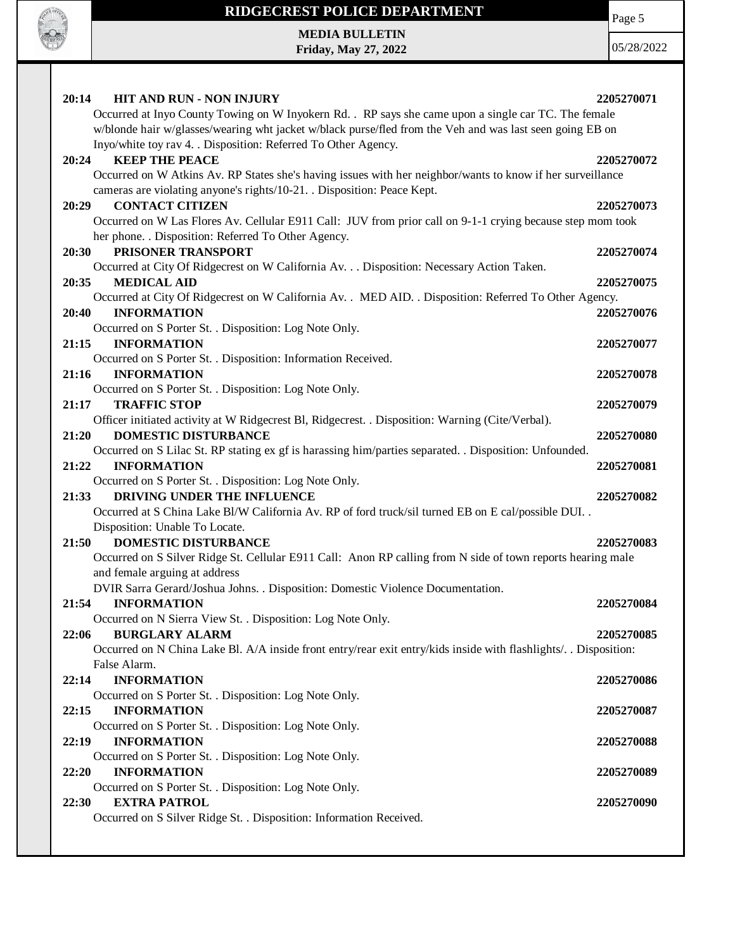

**Friday, May 27, 2022**

Page 5

| 20:14<br><b>HIT AND RUN - NON INJURY</b>                                                                          | 2205270071 |
|-------------------------------------------------------------------------------------------------------------------|------------|
| Occurred at Inyo County Towing on W Inyokern Rd. . RP says she came upon a single car TC. The female              |            |
| w/blonde hair w/glasses/wearing wht jacket w/black purse/fled from the Veh and was last seen going EB on          |            |
| Inyo/white toy rav 4. . Disposition: Referred To Other Agency.                                                    |            |
| <b>KEEP THE PEACE</b><br>20:24                                                                                    | 2205270072 |
| Occurred on W Atkins Av. RP States she's having issues with her neighbor/wants to know if her surveillance        |            |
| cameras are violating anyone's rights/10-21. . Disposition: Peace Kept.                                           |            |
| <b>CONTACT CITIZEN</b><br>20:29                                                                                   | 2205270073 |
| Occurred on W Las Flores Av. Cellular E911 Call: JUV from prior call on 9-1-1 crying because step mom took        |            |
| her phone. . Disposition: Referred To Other Agency.                                                               |            |
| PRISONER TRANSPORT<br>20:30                                                                                       | 2205270074 |
| Occurred at City Of Ridgecrest on W California Av. Disposition: Necessary Action Taken.                           |            |
| <b>MEDICAL AID</b><br>20:35                                                                                       | 2205270075 |
| Occurred at City Of Ridgecrest on W California Av. . MED AID. . Disposition: Referred To Other Agency.            |            |
| 20:40<br><b>INFORMATION</b>                                                                                       | 2205270076 |
| Occurred on S Porter St. . Disposition: Log Note Only.                                                            |            |
| 21:15<br><b>INFORMATION</b>                                                                                       | 2205270077 |
| Occurred on S Porter St. . Disposition: Information Received.                                                     |            |
| <b>INFORMATION</b><br>21:16                                                                                       | 2205270078 |
| Occurred on S Porter St. . Disposition: Log Note Only.                                                            |            |
| <b>TRAFFIC STOP</b><br>21:17                                                                                      | 2205270079 |
| Officer initiated activity at W Ridgecrest Bl, Ridgecrest. . Disposition: Warning (Cite/Verbal).                  |            |
| DOMESTIC DISTURBANCE<br>21:20                                                                                     | 2205270080 |
| Occurred on S Lilac St. RP stating ex gf is harassing him/parties separated. . Disposition: Unfounded.            |            |
| 21:22<br><b>INFORMATION</b>                                                                                       | 2205270081 |
| Occurred on S Porter St. . Disposition: Log Note Only.                                                            |            |
| DRIVING UNDER THE INFLUENCE<br>21:33                                                                              | 2205270082 |
| Occurred at S China Lake Bl/W California Av. RP of ford truck/sil turned EB on E cal/possible DUI. .              |            |
| Disposition: Unable To Locate.                                                                                    |            |
| <b>DOMESTIC DISTURBANCE</b><br>21:50                                                                              | 2205270083 |
| Occurred on S Silver Ridge St. Cellular E911 Call: Anon RP calling from N side of town reports hearing male       |            |
| and female arguing at address                                                                                     |            |
| DVIR Sarra Gerard/Joshua Johns. . Disposition: Domestic Violence Documentation.                                   |            |
| 21:54<br><b>INFORMATION</b>                                                                                       | 2205270084 |
| Occurred on N Sierra View St. . Disposition: Log Note Only.                                                       |            |
|                                                                                                                   |            |
| 22:06<br><b>BURGLARY ALARM</b>                                                                                    | 2205270085 |
| Occurred on N China Lake Bl. A/A inside front entry/rear exit entry/kids inside with flashlights/. . Disposition: |            |
| False Alarm.                                                                                                      |            |
| <b>INFORMATION</b><br>22:14                                                                                       | 2205270086 |
| Occurred on S Porter St. . Disposition: Log Note Only.                                                            |            |
| 22:15<br><b>INFORMATION</b>                                                                                       | 2205270087 |
| Occurred on S Porter St. . Disposition: Log Note Only.                                                            |            |
| <b>INFORMATION</b><br>22:19                                                                                       | 2205270088 |
| Occurred on S Porter St. . Disposition: Log Note Only.                                                            |            |
| 22:20<br><b>INFORMATION</b>                                                                                       | 2205270089 |
| Occurred on S Porter St. . Disposition: Log Note Only.                                                            |            |
| <b>EXTRA PATROL</b><br>22:30                                                                                      | 2205270090 |
| Occurred on S Silver Ridge St. . Disposition: Information Received.                                               |            |
|                                                                                                                   |            |